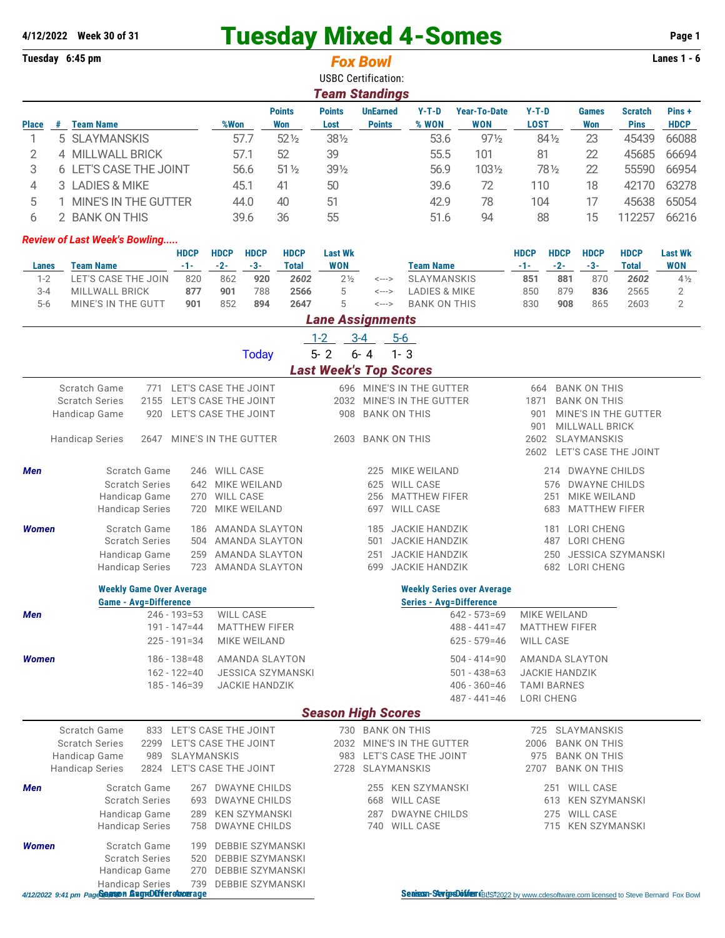# **4/12/2022** Week 30 of 31 **Tuesday Mixed 4-Somes** Page 1<br> **Tuesday 6:45 pm Page 1**<br> **Fox Bowl Fox Mixed 1-Somes Page 1**

| <b>USBC Certification:</b><br><b>Team Standings</b><br><b>Points</b><br><b>UnEarned</b><br><b>Year-To-Date</b><br>Pins+<br><b>Points</b><br>$Y-T-D$<br>$Y-T-D$<br><b>Games</b><br><b>Scratch</b><br># Team Name<br>%Won<br><b>Won</b><br>Lost<br><b>Points</b><br>% WON<br><b>WON</b><br><b>LOST</b><br><b>Won</b><br><b>Pins</b><br><b>HDCP</b><br><b>Place</b><br>5 SLAYMANSKIS<br>$52\%$<br>53.6<br>45439<br>1<br>57.7<br>381/2<br>$97\frac{1}{2}$<br>841/2<br>23<br>66088<br>2<br>39<br>4 MILLWALL BRICK<br>57.1<br>52<br>55.5<br>101<br>81<br>22<br>45685<br>66694<br>3<br>6 LET'S CASE THE JOINT<br>56.6<br>$51\%$<br>391/2<br>56.9<br>1031/2<br>781/2<br>22<br>55590<br>66954<br>3 LADIES & MIKE<br>50<br>39.6<br>72<br>42170<br>63278<br>4<br>45.1<br>41<br>110<br>18<br>5<br>1 MINE'S IN THE GUTTER<br>51<br>42.9<br>78<br>104<br>45638<br>65054<br>44.0<br>40<br>17<br>6<br>2 BANK ON THIS<br>36<br>55<br>51.6<br>94<br>88<br>112257<br>66216<br>39.6<br>15<br><b>Review of Last Week's Bowling</b><br><b>HDCP</b><br><b>HDCP</b><br><b>HDCP</b><br><b>HDCP</b><br><b>HDCP</b><br><b>HDCP</b><br><b>Last Wk</b><br><b>HDCP</b><br><b>HDCP</b><br><b>Last Wk</b><br>$-3-$<br><b>WON</b><br><b>Team Name</b><br>$-1-$<br>$-2-$<br><b>WON</b><br><b>Team Name</b><br>$-1-$<br>$-2-$<br>$-3-$<br><b>Total</b><br><b>Total</b><br>Lanes<br>$1 - 2$<br>LET'S CASE THE JOIN<br>820<br>2 <sub>2</sub><br><b>SLAYMANSKIS</b><br>851<br>881<br>870<br>862<br>920<br>2602<br>2602<br>$4\frac{1}{2}$<br><---><br>5<br>$3 - 4$<br><b>MILLWALL BRICK</b><br>877<br>901<br>788<br>2566<br><b>LADIES &amp; MIKE</b><br>850<br>879<br>836<br>2565<br>2<br><---><br>5<br>$5-6$<br>MINE'S IN THE GUTT<br>2647<br>$\overline{2}$<br>901<br>852<br>894<br><b>BANK ON THIS</b><br>830<br>908<br>865<br>2603<br>$\leftarrow\rightarrow$<br><b>Lane Assignments</b><br>$3 - 4$<br>$1 - 2$<br>$5-6$<br>$5 - 2$<br>$6 - 4$<br>$1 - 3$<br><b>Today</b><br><b>Last Week's Top Scores</b><br>Scratch Game<br>771 LET'S CASE THE JOINT<br>696 MINE'S IN THE GUTTER<br><b>BANK ON THIS</b><br>664<br>LET'S CASE THE JOINT<br>MINE'S IN THE GUTTER<br><b>Scratch Series</b><br>2155<br>2032<br><b>BANK ON THIS</b><br>1871<br>Handicap Game<br>LET'S CASE THE JOINT<br><b>BANK ON THIS</b><br>MINE'S IN THE GUTTER<br>920<br>908<br>901<br>MILLWALL BRICK<br>901<br><b>BANK ON THIS</b><br>SLAYMANSKIS<br><b>Handicap Series</b><br>MINE'S IN THE GUTTER<br>2603<br>2602<br>2647<br>LET'S CASE THE JOINT<br>2602<br>Scratch Game<br>246 WILL CASE<br>MIKE WEILAND<br>Men<br>214 DWAYNE CHILDS<br>225<br><b>Scratch Series</b><br>642 MIKE WEILAND<br><b>WILL CASE</b><br><b>DWAYNE CHILDS</b><br>625<br>576<br><b>MATTHEW FIFER</b><br>MIKE WEILAND<br>Handicap Game<br>270 WILL CASE<br>256<br>251<br>MIKE WEILAND<br>WILL CASE<br><b>MATTHEW FIFER</b><br><b>Handicap Series</b><br>720<br>683<br>697<br>Scratch Game<br>JACKIE HANDZIK<br><b>LORI CHENG</b><br><b>Women</b><br>AMANDA SLAYTON<br>186<br>185<br>181<br>504 AMANDA SLAYTON<br><b>JACKIE HANDZIK</b><br><b>Scratch Series</b><br>487 LORI CHENG<br>501<br><b>AMANDA SLAYTON</b><br><b>JACKIE HANDZIK</b><br><b>JESSICA SZYMANSKI</b><br>Handicap Game<br>259<br>251<br>250<br><b>JACKIE HANDZIK</b><br><b>Handicap Series</b><br>723<br>AMANDA SLAYTON<br>682<br><b>LORI CHENG</b><br>699<br><b>Weekly Game Over Average</b><br><b>Weekly Series over Average</b><br><b>Game - Avg=Difference</b><br><b>Series - Avg=Difference</b><br>WILL CASE<br>$246 - 193 = 53$<br>MIKE WEILAND<br>$642 - 573 = 69$<br>Men<br>191 - 147=44<br><b>MATTHEW FIFER</b><br>$488 - 441 = 47$<br><b>MATTHEW FIFER</b><br>$225 - 191 = 34$<br>MIKE WEILAND<br>$625 - 579 = 46$<br><b>WILL CASE</b><br>$186 - 138 = 48$<br>$504 - 414 = 90$<br>Women<br>AMANDA SLAYTON<br>AMANDA SLAYTON<br>$162 - 122 = 40$<br><b>JESSICA SZYMANSKI</b><br>$501 - 438 = 63$<br><b>JACKIE HANDZIK</b><br>$185 - 146 = 39$<br><b>JACKIE HANDZIK</b><br>$406 - 360 = 46$<br><b>TAMI BARNES</b><br>$487 - 441 = 46$<br>LORI CHENG<br><b>Season High Scores</b><br>Scratch Game<br>833 LET'S CASE THE JOINT<br>730 BANK ON THIS<br>SLAYMANSKIS<br>725<br><b>Scratch Series</b><br>2032 MINE'S IN THE GUTTER<br>2299<br>LET'S CASE THE JOINT<br>2006<br><b>BANK ON THIS</b><br>Handicap Game<br>989<br>SLAYMANSKIS<br>LET'S CASE THE JOINT<br><b>BANK ON THIS</b><br>983<br>975<br><b>Handicap Series</b><br>2824 LET'S CASE THE JOINT<br>SLAYMANSKIS<br>2707<br><b>BANK ON THIS</b><br>2728<br>Scratch Game<br>267 DWAYNE CHILDS<br>255 KEN SZYMANSKI<br>251 WILL CASE<br>Men<br><b>Scratch Series</b><br>693 DWAYNE CHILDS<br><b>WILL CASE</b><br>613 KEN SZYMANSKI<br>668<br>Handicap Game<br>KEN SZYMANSKI<br><b>DWAYNE CHILDS</b><br>275 WILL CASE<br>289<br>287<br><b>Handicap Series</b><br><b>DWAYNE CHILDS</b><br>740 WILL CASE<br>715 KEN SZYMANSKI<br>758<br>Scratch Game<br>DEBBIE SZYMANSKI<br>Women<br>199<br><b>Scratch Series</b><br>520 DEBBIE SZYMANSKI<br>Handicap Game<br>270 DEBBIE SZYMANSKI<br><b>Handicap Series</b><br>739<br>DEBBIE SZYMANSKI<br>4/12/2022 9:41 pm PageSearson SugreDüfferehmerage<br>Seaison-SeripsDoffer (BLS:2022 by www.cdesoftware.com licensed to Steve Bernard Fox Bowl | Tuesday 6:45 pm |  |  |  |  |  | <b>Fox Bowl</b> |  |  |  |  |  |  |  | Lanes $1 - 6$ |  |  |
|---------------------------------------------------------------------------------------------------------------------------------------------------------------------------------------------------------------------------------------------------------------------------------------------------------------------------------------------------------------------------------------------------------------------------------------------------------------------------------------------------------------------------------------------------------------------------------------------------------------------------------------------------------------------------------------------------------------------------------------------------------------------------------------------------------------------------------------------------------------------------------------------------------------------------------------------------------------------------------------------------------------------------------------------------------------------------------------------------------------------------------------------------------------------------------------------------------------------------------------------------------------------------------------------------------------------------------------------------------------------------------------------------------------------------------------------------------------------------------------------------------------------------------------------------------------------------------------------------------------------------------------------------------------------------------------------------------------------------------------------------------------------------------------------------------------------------------------------------------------------------------------------------------------------------------------------------------------------------------------------------------------------------------------------------------------------------------------------------------------------------------------------------------------------------------------------------------------------------------------------------------------------------------------------------------------------------------------------------------------------------------------------------------------------------------------------------------------------------------------------------------------------------------------------------------------------------------------------------------------------------------------------------------------------------------------------------------------------------------------------------------------------------------------------------------------------------------------------------------------------------------------------------------------------------------------------------------------------------------------------------------------------------------------------------------------------------------------------------------------------------------------------------------------------------------------------------------------------------------------------------------------------------------------------------------------------------------------------------------------------------------------------------------------------------------------------------------------------------------------------------------------------------------------------------------------------------------------------------------------------------------------------------------------------------------------------------------------------------------------------------------------------------------------------------------------------------------------------------------------------------------------------------------------------------------------------------------------------------------------------------------------------------------------------------------------------------------------------------------------------------------------------------------------------------------------------------------------------------------------------------------------------------------------------------------------------------------------------------------------------------------------------------------------------------------------------------------------------------------------------------------------------------------------------------------------------------------------------------------------------------------------------------------------------------------------------------------------------------------------------------------------------------------------------------------------------------------------------------------------------------------------------------------------------------------------------------------------------------------------------------------------------------------------------------------------------------------------------------------------------------------------------------------------------------------------------------------------------------|-----------------|--|--|--|--|--|-----------------|--|--|--|--|--|--|--|---------------|--|--|
|                                                                                                                                                                                                                                                                                                                                                                                                                                                                                                                                                                                                                                                                                                                                                                                                                                                                                                                                                                                                                                                                                                                                                                                                                                                                                                                                                                                                                                                                                                                                                                                                                                                                                                                                                                                                                                                                                                                                                                                                                                                                                                                                                                                                                                                                                                                                                                                                                                                                                                                                                                                                                                                                                                                                                                                                                                                                                                                                                                                                                                                                                                                                                                                                                                                                                                                                                                                                                                                                                                                                                                                                                                                                                                                                                                                                                                                                                                                                                                                                                                                                                                                                                                                                                                                                                                                                                                                                                                                                                                                                                                                                                                                                                                                                                                                                                                                                                                                                                                                                                                                                                                                                                                                                                           |                 |  |  |  |  |  |                 |  |  |  |  |  |  |  |               |  |  |
|                                                                                                                                                                                                                                                                                                                                                                                                                                                                                                                                                                                                                                                                                                                                                                                                                                                                                                                                                                                                                                                                                                                                                                                                                                                                                                                                                                                                                                                                                                                                                                                                                                                                                                                                                                                                                                                                                                                                                                                                                                                                                                                                                                                                                                                                                                                                                                                                                                                                                                                                                                                                                                                                                                                                                                                                                                                                                                                                                                                                                                                                                                                                                                                                                                                                                                                                                                                                                                                                                                                                                                                                                                                                                                                                                                                                                                                                                                                                                                                                                                                                                                                                                                                                                                                                                                                                                                                                                                                                                                                                                                                                                                                                                                                                                                                                                                                                                                                                                                                                                                                                                                                                                                                                                           |                 |  |  |  |  |  |                 |  |  |  |  |  |  |  |               |  |  |
|                                                                                                                                                                                                                                                                                                                                                                                                                                                                                                                                                                                                                                                                                                                                                                                                                                                                                                                                                                                                                                                                                                                                                                                                                                                                                                                                                                                                                                                                                                                                                                                                                                                                                                                                                                                                                                                                                                                                                                                                                                                                                                                                                                                                                                                                                                                                                                                                                                                                                                                                                                                                                                                                                                                                                                                                                                                                                                                                                                                                                                                                                                                                                                                                                                                                                                                                                                                                                                                                                                                                                                                                                                                                                                                                                                                                                                                                                                                                                                                                                                                                                                                                                                                                                                                                                                                                                                                                                                                                                                                                                                                                                                                                                                                                                                                                                                                                                                                                                                                                                                                                                                                                                                                                                           |                 |  |  |  |  |  |                 |  |  |  |  |  |  |  |               |  |  |
|                                                                                                                                                                                                                                                                                                                                                                                                                                                                                                                                                                                                                                                                                                                                                                                                                                                                                                                                                                                                                                                                                                                                                                                                                                                                                                                                                                                                                                                                                                                                                                                                                                                                                                                                                                                                                                                                                                                                                                                                                                                                                                                                                                                                                                                                                                                                                                                                                                                                                                                                                                                                                                                                                                                                                                                                                                                                                                                                                                                                                                                                                                                                                                                                                                                                                                                                                                                                                                                                                                                                                                                                                                                                                                                                                                                                                                                                                                                                                                                                                                                                                                                                                                                                                                                                                                                                                                                                                                                                                                                                                                                                                                                                                                                                                                                                                                                                                                                                                                                                                                                                                                                                                                                                                           |                 |  |  |  |  |  |                 |  |  |  |  |  |  |  |               |  |  |
|                                                                                                                                                                                                                                                                                                                                                                                                                                                                                                                                                                                                                                                                                                                                                                                                                                                                                                                                                                                                                                                                                                                                                                                                                                                                                                                                                                                                                                                                                                                                                                                                                                                                                                                                                                                                                                                                                                                                                                                                                                                                                                                                                                                                                                                                                                                                                                                                                                                                                                                                                                                                                                                                                                                                                                                                                                                                                                                                                                                                                                                                                                                                                                                                                                                                                                                                                                                                                                                                                                                                                                                                                                                                                                                                                                                                                                                                                                                                                                                                                                                                                                                                                                                                                                                                                                                                                                                                                                                                                                                                                                                                                                                                                                                                                                                                                                                                                                                                                                                                                                                                                                                                                                                                                           |                 |  |  |  |  |  |                 |  |  |  |  |  |  |  |               |  |  |
|                                                                                                                                                                                                                                                                                                                                                                                                                                                                                                                                                                                                                                                                                                                                                                                                                                                                                                                                                                                                                                                                                                                                                                                                                                                                                                                                                                                                                                                                                                                                                                                                                                                                                                                                                                                                                                                                                                                                                                                                                                                                                                                                                                                                                                                                                                                                                                                                                                                                                                                                                                                                                                                                                                                                                                                                                                                                                                                                                                                                                                                                                                                                                                                                                                                                                                                                                                                                                                                                                                                                                                                                                                                                                                                                                                                                                                                                                                                                                                                                                                                                                                                                                                                                                                                                                                                                                                                                                                                                                                                                                                                                                                                                                                                                                                                                                                                                                                                                                                                                                                                                                                                                                                                                                           |                 |  |  |  |  |  |                 |  |  |  |  |  |  |  |               |  |  |
|                                                                                                                                                                                                                                                                                                                                                                                                                                                                                                                                                                                                                                                                                                                                                                                                                                                                                                                                                                                                                                                                                                                                                                                                                                                                                                                                                                                                                                                                                                                                                                                                                                                                                                                                                                                                                                                                                                                                                                                                                                                                                                                                                                                                                                                                                                                                                                                                                                                                                                                                                                                                                                                                                                                                                                                                                                                                                                                                                                                                                                                                                                                                                                                                                                                                                                                                                                                                                                                                                                                                                                                                                                                                                                                                                                                                                                                                                                                                                                                                                                                                                                                                                                                                                                                                                                                                                                                                                                                                                                                                                                                                                                                                                                                                                                                                                                                                                                                                                                                                                                                                                                                                                                                                                           |                 |  |  |  |  |  |                 |  |  |  |  |  |  |  |               |  |  |
|                                                                                                                                                                                                                                                                                                                                                                                                                                                                                                                                                                                                                                                                                                                                                                                                                                                                                                                                                                                                                                                                                                                                                                                                                                                                                                                                                                                                                                                                                                                                                                                                                                                                                                                                                                                                                                                                                                                                                                                                                                                                                                                                                                                                                                                                                                                                                                                                                                                                                                                                                                                                                                                                                                                                                                                                                                                                                                                                                                                                                                                                                                                                                                                                                                                                                                                                                                                                                                                                                                                                                                                                                                                                                                                                                                                                                                                                                                                                                                                                                                                                                                                                                                                                                                                                                                                                                                                                                                                                                                                                                                                                                                                                                                                                                                                                                                                                                                                                                                                                                                                                                                                                                                                                                           |                 |  |  |  |  |  |                 |  |  |  |  |  |  |  |               |  |  |
|                                                                                                                                                                                                                                                                                                                                                                                                                                                                                                                                                                                                                                                                                                                                                                                                                                                                                                                                                                                                                                                                                                                                                                                                                                                                                                                                                                                                                                                                                                                                                                                                                                                                                                                                                                                                                                                                                                                                                                                                                                                                                                                                                                                                                                                                                                                                                                                                                                                                                                                                                                                                                                                                                                                                                                                                                                                                                                                                                                                                                                                                                                                                                                                                                                                                                                                                                                                                                                                                                                                                                                                                                                                                                                                                                                                                                                                                                                                                                                                                                                                                                                                                                                                                                                                                                                                                                                                                                                                                                                                                                                                                                                                                                                                                                                                                                                                                                                                                                                                                                                                                                                                                                                                                                           |                 |  |  |  |  |  |                 |  |  |  |  |  |  |  |               |  |  |
|                                                                                                                                                                                                                                                                                                                                                                                                                                                                                                                                                                                                                                                                                                                                                                                                                                                                                                                                                                                                                                                                                                                                                                                                                                                                                                                                                                                                                                                                                                                                                                                                                                                                                                                                                                                                                                                                                                                                                                                                                                                                                                                                                                                                                                                                                                                                                                                                                                                                                                                                                                                                                                                                                                                                                                                                                                                                                                                                                                                                                                                                                                                                                                                                                                                                                                                                                                                                                                                                                                                                                                                                                                                                                                                                                                                                                                                                                                                                                                                                                                                                                                                                                                                                                                                                                                                                                                                                                                                                                                                                                                                                                                                                                                                                                                                                                                                                                                                                                                                                                                                                                                                                                                                                                           |                 |  |  |  |  |  |                 |  |  |  |  |  |  |  |               |  |  |
|                                                                                                                                                                                                                                                                                                                                                                                                                                                                                                                                                                                                                                                                                                                                                                                                                                                                                                                                                                                                                                                                                                                                                                                                                                                                                                                                                                                                                                                                                                                                                                                                                                                                                                                                                                                                                                                                                                                                                                                                                                                                                                                                                                                                                                                                                                                                                                                                                                                                                                                                                                                                                                                                                                                                                                                                                                                                                                                                                                                                                                                                                                                                                                                                                                                                                                                                                                                                                                                                                                                                                                                                                                                                                                                                                                                                                                                                                                                                                                                                                                                                                                                                                                                                                                                                                                                                                                                                                                                                                                                                                                                                                                                                                                                                                                                                                                                                                                                                                                                                                                                                                                                                                                                                                           |                 |  |  |  |  |  |                 |  |  |  |  |  |  |  |               |  |  |
|                                                                                                                                                                                                                                                                                                                                                                                                                                                                                                                                                                                                                                                                                                                                                                                                                                                                                                                                                                                                                                                                                                                                                                                                                                                                                                                                                                                                                                                                                                                                                                                                                                                                                                                                                                                                                                                                                                                                                                                                                                                                                                                                                                                                                                                                                                                                                                                                                                                                                                                                                                                                                                                                                                                                                                                                                                                                                                                                                                                                                                                                                                                                                                                                                                                                                                                                                                                                                                                                                                                                                                                                                                                                                                                                                                                                                                                                                                                                                                                                                                                                                                                                                                                                                                                                                                                                                                                                                                                                                                                                                                                                                                                                                                                                                                                                                                                                                                                                                                                                                                                                                                                                                                                                                           |                 |  |  |  |  |  |                 |  |  |  |  |  |  |  |               |  |  |
|                                                                                                                                                                                                                                                                                                                                                                                                                                                                                                                                                                                                                                                                                                                                                                                                                                                                                                                                                                                                                                                                                                                                                                                                                                                                                                                                                                                                                                                                                                                                                                                                                                                                                                                                                                                                                                                                                                                                                                                                                                                                                                                                                                                                                                                                                                                                                                                                                                                                                                                                                                                                                                                                                                                                                                                                                                                                                                                                                                                                                                                                                                                                                                                                                                                                                                                                                                                                                                                                                                                                                                                                                                                                                                                                                                                                                                                                                                                                                                                                                                                                                                                                                                                                                                                                                                                                                                                                                                                                                                                                                                                                                                                                                                                                                                                                                                                                                                                                                                                                                                                                                                                                                                                                                           |                 |  |  |  |  |  |                 |  |  |  |  |  |  |  |               |  |  |
|                                                                                                                                                                                                                                                                                                                                                                                                                                                                                                                                                                                                                                                                                                                                                                                                                                                                                                                                                                                                                                                                                                                                                                                                                                                                                                                                                                                                                                                                                                                                                                                                                                                                                                                                                                                                                                                                                                                                                                                                                                                                                                                                                                                                                                                                                                                                                                                                                                                                                                                                                                                                                                                                                                                                                                                                                                                                                                                                                                                                                                                                                                                                                                                                                                                                                                                                                                                                                                                                                                                                                                                                                                                                                                                                                                                                                                                                                                                                                                                                                                                                                                                                                                                                                                                                                                                                                                                                                                                                                                                                                                                                                                                                                                                                                                                                                                                                                                                                                                                                                                                                                                                                                                                                                           |                 |  |  |  |  |  |                 |  |  |  |  |  |  |  |               |  |  |
|                                                                                                                                                                                                                                                                                                                                                                                                                                                                                                                                                                                                                                                                                                                                                                                                                                                                                                                                                                                                                                                                                                                                                                                                                                                                                                                                                                                                                                                                                                                                                                                                                                                                                                                                                                                                                                                                                                                                                                                                                                                                                                                                                                                                                                                                                                                                                                                                                                                                                                                                                                                                                                                                                                                                                                                                                                                                                                                                                                                                                                                                                                                                                                                                                                                                                                                                                                                                                                                                                                                                                                                                                                                                                                                                                                                                                                                                                                                                                                                                                                                                                                                                                                                                                                                                                                                                                                                                                                                                                                                                                                                                                                                                                                                                                                                                                                                                                                                                                                                                                                                                                                                                                                                                                           |                 |  |  |  |  |  |                 |  |  |  |  |  |  |  |               |  |  |
|                                                                                                                                                                                                                                                                                                                                                                                                                                                                                                                                                                                                                                                                                                                                                                                                                                                                                                                                                                                                                                                                                                                                                                                                                                                                                                                                                                                                                                                                                                                                                                                                                                                                                                                                                                                                                                                                                                                                                                                                                                                                                                                                                                                                                                                                                                                                                                                                                                                                                                                                                                                                                                                                                                                                                                                                                                                                                                                                                                                                                                                                                                                                                                                                                                                                                                                                                                                                                                                                                                                                                                                                                                                                                                                                                                                                                                                                                                                                                                                                                                                                                                                                                                                                                                                                                                                                                                                                                                                                                                                                                                                                                                                                                                                                                                                                                                                                                                                                                                                                                                                                                                                                                                                                                           |                 |  |  |  |  |  |                 |  |  |  |  |  |  |  |               |  |  |
|                                                                                                                                                                                                                                                                                                                                                                                                                                                                                                                                                                                                                                                                                                                                                                                                                                                                                                                                                                                                                                                                                                                                                                                                                                                                                                                                                                                                                                                                                                                                                                                                                                                                                                                                                                                                                                                                                                                                                                                                                                                                                                                                                                                                                                                                                                                                                                                                                                                                                                                                                                                                                                                                                                                                                                                                                                                                                                                                                                                                                                                                                                                                                                                                                                                                                                                                                                                                                                                                                                                                                                                                                                                                                                                                                                                                                                                                                                                                                                                                                                                                                                                                                                                                                                                                                                                                                                                                                                                                                                                                                                                                                                                                                                                                                                                                                                                                                                                                                                                                                                                                                                                                                                                                                           |                 |  |  |  |  |  |                 |  |  |  |  |  |  |  |               |  |  |
|                                                                                                                                                                                                                                                                                                                                                                                                                                                                                                                                                                                                                                                                                                                                                                                                                                                                                                                                                                                                                                                                                                                                                                                                                                                                                                                                                                                                                                                                                                                                                                                                                                                                                                                                                                                                                                                                                                                                                                                                                                                                                                                                                                                                                                                                                                                                                                                                                                                                                                                                                                                                                                                                                                                                                                                                                                                                                                                                                                                                                                                                                                                                                                                                                                                                                                                                                                                                                                                                                                                                                                                                                                                                                                                                                                                                                                                                                                                                                                                                                                                                                                                                                                                                                                                                                                                                                                                                                                                                                                                                                                                                                                                                                                                                                                                                                                                                                                                                                                                                                                                                                                                                                                                                                           |                 |  |  |  |  |  |                 |  |  |  |  |  |  |  |               |  |  |
|                                                                                                                                                                                                                                                                                                                                                                                                                                                                                                                                                                                                                                                                                                                                                                                                                                                                                                                                                                                                                                                                                                                                                                                                                                                                                                                                                                                                                                                                                                                                                                                                                                                                                                                                                                                                                                                                                                                                                                                                                                                                                                                                                                                                                                                                                                                                                                                                                                                                                                                                                                                                                                                                                                                                                                                                                                                                                                                                                                                                                                                                                                                                                                                                                                                                                                                                                                                                                                                                                                                                                                                                                                                                                                                                                                                                                                                                                                                                                                                                                                                                                                                                                                                                                                                                                                                                                                                                                                                                                                                                                                                                                                                                                                                                                                                                                                                                                                                                                                                                                                                                                                                                                                                                                           |                 |  |  |  |  |  |                 |  |  |  |  |  |  |  |               |  |  |
|                                                                                                                                                                                                                                                                                                                                                                                                                                                                                                                                                                                                                                                                                                                                                                                                                                                                                                                                                                                                                                                                                                                                                                                                                                                                                                                                                                                                                                                                                                                                                                                                                                                                                                                                                                                                                                                                                                                                                                                                                                                                                                                                                                                                                                                                                                                                                                                                                                                                                                                                                                                                                                                                                                                                                                                                                                                                                                                                                                                                                                                                                                                                                                                                                                                                                                                                                                                                                                                                                                                                                                                                                                                                                                                                                                                                                                                                                                                                                                                                                                                                                                                                                                                                                                                                                                                                                                                                                                                                                                                                                                                                                                                                                                                                                                                                                                                                                                                                                                                                                                                                                                                                                                                                                           |                 |  |  |  |  |  |                 |  |  |  |  |  |  |  |               |  |  |
|                                                                                                                                                                                                                                                                                                                                                                                                                                                                                                                                                                                                                                                                                                                                                                                                                                                                                                                                                                                                                                                                                                                                                                                                                                                                                                                                                                                                                                                                                                                                                                                                                                                                                                                                                                                                                                                                                                                                                                                                                                                                                                                                                                                                                                                                                                                                                                                                                                                                                                                                                                                                                                                                                                                                                                                                                                                                                                                                                                                                                                                                                                                                                                                                                                                                                                                                                                                                                                                                                                                                                                                                                                                                                                                                                                                                                                                                                                                                                                                                                                                                                                                                                                                                                                                                                                                                                                                                                                                                                                                                                                                                                                                                                                                                                                                                                                                                                                                                                                                                                                                                                                                                                                                                                           |                 |  |  |  |  |  |                 |  |  |  |  |  |  |  |               |  |  |
|                                                                                                                                                                                                                                                                                                                                                                                                                                                                                                                                                                                                                                                                                                                                                                                                                                                                                                                                                                                                                                                                                                                                                                                                                                                                                                                                                                                                                                                                                                                                                                                                                                                                                                                                                                                                                                                                                                                                                                                                                                                                                                                                                                                                                                                                                                                                                                                                                                                                                                                                                                                                                                                                                                                                                                                                                                                                                                                                                                                                                                                                                                                                                                                                                                                                                                                                                                                                                                                                                                                                                                                                                                                                                                                                                                                                                                                                                                                                                                                                                                                                                                                                                                                                                                                                                                                                                                                                                                                                                                                                                                                                                                                                                                                                                                                                                                                                                                                                                                                                                                                                                                                                                                                                                           |                 |  |  |  |  |  |                 |  |  |  |  |  |  |  |               |  |  |
|                                                                                                                                                                                                                                                                                                                                                                                                                                                                                                                                                                                                                                                                                                                                                                                                                                                                                                                                                                                                                                                                                                                                                                                                                                                                                                                                                                                                                                                                                                                                                                                                                                                                                                                                                                                                                                                                                                                                                                                                                                                                                                                                                                                                                                                                                                                                                                                                                                                                                                                                                                                                                                                                                                                                                                                                                                                                                                                                                                                                                                                                                                                                                                                                                                                                                                                                                                                                                                                                                                                                                                                                                                                                                                                                                                                                                                                                                                                                                                                                                                                                                                                                                                                                                                                                                                                                                                                                                                                                                                                                                                                                                                                                                                                                                                                                                                                                                                                                                                                                                                                                                                                                                                                                                           |                 |  |  |  |  |  |                 |  |  |  |  |  |  |  |               |  |  |
|                                                                                                                                                                                                                                                                                                                                                                                                                                                                                                                                                                                                                                                                                                                                                                                                                                                                                                                                                                                                                                                                                                                                                                                                                                                                                                                                                                                                                                                                                                                                                                                                                                                                                                                                                                                                                                                                                                                                                                                                                                                                                                                                                                                                                                                                                                                                                                                                                                                                                                                                                                                                                                                                                                                                                                                                                                                                                                                                                                                                                                                                                                                                                                                                                                                                                                                                                                                                                                                                                                                                                                                                                                                                                                                                                                                                                                                                                                                                                                                                                                                                                                                                                                                                                                                                                                                                                                                                                                                                                                                                                                                                                                                                                                                                                                                                                                                                                                                                                                                                                                                                                                                                                                                                                           |                 |  |  |  |  |  |                 |  |  |  |  |  |  |  |               |  |  |
|                                                                                                                                                                                                                                                                                                                                                                                                                                                                                                                                                                                                                                                                                                                                                                                                                                                                                                                                                                                                                                                                                                                                                                                                                                                                                                                                                                                                                                                                                                                                                                                                                                                                                                                                                                                                                                                                                                                                                                                                                                                                                                                                                                                                                                                                                                                                                                                                                                                                                                                                                                                                                                                                                                                                                                                                                                                                                                                                                                                                                                                                                                                                                                                                                                                                                                                                                                                                                                                                                                                                                                                                                                                                                                                                                                                                                                                                                                                                                                                                                                                                                                                                                                                                                                                                                                                                                                                                                                                                                                                                                                                                                                                                                                                                                                                                                                                                                                                                                                                                                                                                                                                                                                                                                           |                 |  |  |  |  |  |                 |  |  |  |  |  |  |  |               |  |  |
|                                                                                                                                                                                                                                                                                                                                                                                                                                                                                                                                                                                                                                                                                                                                                                                                                                                                                                                                                                                                                                                                                                                                                                                                                                                                                                                                                                                                                                                                                                                                                                                                                                                                                                                                                                                                                                                                                                                                                                                                                                                                                                                                                                                                                                                                                                                                                                                                                                                                                                                                                                                                                                                                                                                                                                                                                                                                                                                                                                                                                                                                                                                                                                                                                                                                                                                                                                                                                                                                                                                                                                                                                                                                                                                                                                                                                                                                                                                                                                                                                                                                                                                                                                                                                                                                                                                                                                                                                                                                                                                                                                                                                                                                                                                                                                                                                                                                                                                                                                                                                                                                                                                                                                                                                           |                 |  |  |  |  |  |                 |  |  |  |  |  |  |  |               |  |  |
|                                                                                                                                                                                                                                                                                                                                                                                                                                                                                                                                                                                                                                                                                                                                                                                                                                                                                                                                                                                                                                                                                                                                                                                                                                                                                                                                                                                                                                                                                                                                                                                                                                                                                                                                                                                                                                                                                                                                                                                                                                                                                                                                                                                                                                                                                                                                                                                                                                                                                                                                                                                                                                                                                                                                                                                                                                                                                                                                                                                                                                                                                                                                                                                                                                                                                                                                                                                                                                                                                                                                                                                                                                                                                                                                                                                                                                                                                                                                                                                                                                                                                                                                                                                                                                                                                                                                                                                                                                                                                                                                                                                                                                                                                                                                                                                                                                                                                                                                                                                                                                                                                                                                                                                                                           |                 |  |  |  |  |  |                 |  |  |  |  |  |  |  |               |  |  |
|                                                                                                                                                                                                                                                                                                                                                                                                                                                                                                                                                                                                                                                                                                                                                                                                                                                                                                                                                                                                                                                                                                                                                                                                                                                                                                                                                                                                                                                                                                                                                                                                                                                                                                                                                                                                                                                                                                                                                                                                                                                                                                                                                                                                                                                                                                                                                                                                                                                                                                                                                                                                                                                                                                                                                                                                                                                                                                                                                                                                                                                                                                                                                                                                                                                                                                                                                                                                                                                                                                                                                                                                                                                                                                                                                                                                                                                                                                                                                                                                                                                                                                                                                                                                                                                                                                                                                                                                                                                                                                                                                                                                                                                                                                                                                                                                                                                                                                                                                                                                                                                                                                                                                                                                                           |                 |  |  |  |  |  |                 |  |  |  |  |  |  |  |               |  |  |
|                                                                                                                                                                                                                                                                                                                                                                                                                                                                                                                                                                                                                                                                                                                                                                                                                                                                                                                                                                                                                                                                                                                                                                                                                                                                                                                                                                                                                                                                                                                                                                                                                                                                                                                                                                                                                                                                                                                                                                                                                                                                                                                                                                                                                                                                                                                                                                                                                                                                                                                                                                                                                                                                                                                                                                                                                                                                                                                                                                                                                                                                                                                                                                                                                                                                                                                                                                                                                                                                                                                                                                                                                                                                                                                                                                                                                                                                                                                                                                                                                                                                                                                                                                                                                                                                                                                                                                                                                                                                                                                                                                                                                                                                                                                                                                                                                                                                                                                                                                                                                                                                                                                                                                                                                           |                 |  |  |  |  |  |                 |  |  |  |  |  |  |  |               |  |  |
|                                                                                                                                                                                                                                                                                                                                                                                                                                                                                                                                                                                                                                                                                                                                                                                                                                                                                                                                                                                                                                                                                                                                                                                                                                                                                                                                                                                                                                                                                                                                                                                                                                                                                                                                                                                                                                                                                                                                                                                                                                                                                                                                                                                                                                                                                                                                                                                                                                                                                                                                                                                                                                                                                                                                                                                                                                                                                                                                                                                                                                                                                                                                                                                                                                                                                                                                                                                                                                                                                                                                                                                                                                                                                                                                                                                                                                                                                                                                                                                                                                                                                                                                                                                                                                                                                                                                                                                                                                                                                                                                                                                                                                                                                                                                                                                                                                                                                                                                                                                                                                                                                                                                                                                                                           |                 |  |  |  |  |  |                 |  |  |  |  |  |  |  |               |  |  |
|                                                                                                                                                                                                                                                                                                                                                                                                                                                                                                                                                                                                                                                                                                                                                                                                                                                                                                                                                                                                                                                                                                                                                                                                                                                                                                                                                                                                                                                                                                                                                                                                                                                                                                                                                                                                                                                                                                                                                                                                                                                                                                                                                                                                                                                                                                                                                                                                                                                                                                                                                                                                                                                                                                                                                                                                                                                                                                                                                                                                                                                                                                                                                                                                                                                                                                                                                                                                                                                                                                                                                                                                                                                                                                                                                                                                                                                                                                                                                                                                                                                                                                                                                                                                                                                                                                                                                                                                                                                                                                                                                                                                                                                                                                                                                                                                                                                                                                                                                                                                                                                                                                                                                                                                                           |                 |  |  |  |  |  |                 |  |  |  |  |  |  |  |               |  |  |
|                                                                                                                                                                                                                                                                                                                                                                                                                                                                                                                                                                                                                                                                                                                                                                                                                                                                                                                                                                                                                                                                                                                                                                                                                                                                                                                                                                                                                                                                                                                                                                                                                                                                                                                                                                                                                                                                                                                                                                                                                                                                                                                                                                                                                                                                                                                                                                                                                                                                                                                                                                                                                                                                                                                                                                                                                                                                                                                                                                                                                                                                                                                                                                                                                                                                                                                                                                                                                                                                                                                                                                                                                                                                                                                                                                                                                                                                                                                                                                                                                                                                                                                                                                                                                                                                                                                                                                                                                                                                                                                                                                                                                                                                                                                                                                                                                                                                                                                                                                                                                                                                                                                                                                                                                           |                 |  |  |  |  |  |                 |  |  |  |  |  |  |  |               |  |  |
|                                                                                                                                                                                                                                                                                                                                                                                                                                                                                                                                                                                                                                                                                                                                                                                                                                                                                                                                                                                                                                                                                                                                                                                                                                                                                                                                                                                                                                                                                                                                                                                                                                                                                                                                                                                                                                                                                                                                                                                                                                                                                                                                                                                                                                                                                                                                                                                                                                                                                                                                                                                                                                                                                                                                                                                                                                                                                                                                                                                                                                                                                                                                                                                                                                                                                                                                                                                                                                                                                                                                                                                                                                                                                                                                                                                                                                                                                                                                                                                                                                                                                                                                                                                                                                                                                                                                                                                                                                                                                                                                                                                                                                                                                                                                                                                                                                                                                                                                                                                                                                                                                                                                                                                                                           |                 |  |  |  |  |  |                 |  |  |  |  |  |  |  |               |  |  |
|                                                                                                                                                                                                                                                                                                                                                                                                                                                                                                                                                                                                                                                                                                                                                                                                                                                                                                                                                                                                                                                                                                                                                                                                                                                                                                                                                                                                                                                                                                                                                                                                                                                                                                                                                                                                                                                                                                                                                                                                                                                                                                                                                                                                                                                                                                                                                                                                                                                                                                                                                                                                                                                                                                                                                                                                                                                                                                                                                                                                                                                                                                                                                                                                                                                                                                                                                                                                                                                                                                                                                                                                                                                                                                                                                                                                                                                                                                                                                                                                                                                                                                                                                                                                                                                                                                                                                                                                                                                                                                                                                                                                                                                                                                                                                                                                                                                                                                                                                                                                                                                                                                                                                                                                                           |                 |  |  |  |  |  |                 |  |  |  |  |  |  |  |               |  |  |
|                                                                                                                                                                                                                                                                                                                                                                                                                                                                                                                                                                                                                                                                                                                                                                                                                                                                                                                                                                                                                                                                                                                                                                                                                                                                                                                                                                                                                                                                                                                                                                                                                                                                                                                                                                                                                                                                                                                                                                                                                                                                                                                                                                                                                                                                                                                                                                                                                                                                                                                                                                                                                                                                                                                                                                                                                                                                                                                                                                                                                                                                                                                                                                                                                                                                                                                                                                                                                                                                                                                                                                                                                                                                                                                                                                                                                                                                                                                                                                                                                                                                                                                                                                                                                                                                                                                                                                                                                                                                                                                                                                                                                                                                                                                                                                                                                                                                                                                                                                                                                                                                                                                                                                                                                           |                 |  |  |  |  |  |                 |  |  |  |  |  |  |  |               |  |  |
|                                                                                                                                                                                                                                                                                                                                                                                                                                                                                                                                                                                                                                                                                                                                                                                                                                                                                                                                                                                                                                                                                                                                                                                                                                                                                                                                                                                                                                                                                                                                                                                                                                                                                                                                                                                                                                                                                                                                                                                                                                                                                                                                                                                                                                                                                                                                                                                                                                                                                                                                                                                                                                                                                                                                                                                                                                                                                                                                                                                                                                                                                                                                                                                                                                                                                                                                                                                                                                                                                                                                                                                                                                                                                                                                                                                                                                                                                                                                                                                                                                                                                                                                                                                                                                                                                                                                                                                                                                                                                                                                                                                                                                                                                                                                                                                                                                                                                                                                                                                                                                                                                                                                                                                                                           |                 |  |  |  |  |  |                 |  |  |  |  |  |  |  |               |  |  |
|                                                                                                                                                                                                                                                                                                                                                                                                                                                                                                                                                                                                                                                                                                                                                                                                                                                                                                                                                                                                                                                                                                                                                                                                                                                                                                                                                                                                                                                                                                                                                                                                                                                                                                                                                                                                                                                                                                                                                                                                                                                                                                                                                                                                                                                                                                                                                                                                                                                                                                                                                                                                                                                                                                                                                                                                                                                                                                                                                                                                                                                                                                                                                                                                                                                                                                                                                                                                                                                                                                                                                                                                                                                                                                                                                                                                                                                                                                                                                                                                                                                                                                                                                                                                                                                                                                                                                                                                                                                                                                                                                                                                                                                                                                                                                                                                                                                                                                                                                                                                                                                                                                                                                                                                                           |                 |  |  |  |  |  |                 |  |  |  |  |  |  |  |               |  |  |
|                                                                                                                                                                                                                                                                                                                                                                                                                                                                                                                                                                                                                                                                                                                                                                                                                                                                                                                                                                                                                                                                                                                                                                                                                                                                                                                                                                                                                                                                                                                                                                                                                                                                                                                                                                                                                                                                                                                                                                                                                                                                                                                                                                                                                                                                                                                                                                                                                                                                                                                                                                                                                                                                                                                                                                                                                                                                                                                                                                                                                                                                                                                                                                                                                                                                                                                                                                                                                                                                                                                                                                                                                                                                                                                                                                                                                                                                                                                                                                                                                                                                                                                                                                                                                                                                                                                                                                                                                                                                                                                                                                                                                                                                                                                                                                                                                                                                                                                                                                                                                                                                                                                                                                                                                           |                 |  |  |  |  |  |                 |  |  |  |  |  |  |  |               |  |  |
|                                                                                                                                                                                                                                                                                                                                                                                                                                                                                                                                                                                                                                                                                                                                                                                                                                                                                                                                                                                                                                                                                                                                                                                                                                                                                                                                                                                                                                                                                                                                                                                                                                                                                                                                                                                                                                                                                                                                                                                                                                                                                                                                                                                                                                                                                                                                                                                                                                                                                                                                                                                                                                                                                                                                                                                                                                                                                                                                                                                                                                                                                                                                                                                                                                                                                                                                                                                                                                                                                                                                                                                                                                                                                                                                                                                                                                                                                                                                                                                                                                                                                                                                                                                                                                                                                                                                                                                                                                                                                                                                                                                                                                                                                                                                                                                                                                                                                                                                                                                                                                                                                                                                                                                                                           |                 |  |  |  |  |  |                 |  |  |  |  |  |  |  |               |  |  |
|                                                                                                                                                                                                                                                                                                                                                                                                                                                                                                                                                                                                                                                                                                                                                                                                                                                                                                                                                                                                                                                                                                                                                                                                                                                                                                                                                                                                                                                                                                                                                                                                                                                                                                                                                                                                                                                                                                                                                                                                                                                                                                                                                                                                                                                                                                                                                                                                                                                                                                                                                                                                                                                                                                                                                                                                                                                                                                                                                                                                                                                                                                                                                                                                                                                                                                                                                                                                                                                                                                                                                                                                                                                                                                                                                                                                                                                                                                                                                                                                                                                                                                                                                                                                                                                                                                                                                                                                                                                                                                                                                                                                                                                                                                                                                                                                                                                                                                                                                                                                                                                                                                                                                                                                                           |                 |  |  |  |  |  |                 |  |  |  |  |  |  |  |               |  |  |
|                                                                                                                                                                                                                                                                                                                                                                                                                                                                                                                                                                                                                                                                                                                                                                                                                                                                                                                                                                                                                                                                                                                                                                                                                                                                                                                                                                                                                                                                                                                                                                                                                                                                                                                                                                                                                                                                                                                                                                                                                                                                                                                                                                                                                                                                                                                                                                                                                                                                                                                                                                                                                                                                                                                                                                                                                                                                                                                                                                                                                                                                                                                                                                                                                                                                                                                                                                                                                                                                                                                                                                                                                                                                                                                                                                                                                                                                                                                                                                                                                                                                                                                                                                                                                                                                                                                                                                                                                                                                                                                                                                                                                                                                                                                                                                                                                                                                                                                                                                                                                                                                                                                                                                                                                           |                 |  |  |  |  |  |                 |  |  |  |  |  |  |  |               |  |  |
|                                                                                                                                                                                                                                                                                                                                                                                                                                                                                                                                                                                                                                                                                                                                                                                                                                                                                                                                                                                                                                                                                                                                                                                                                                                                                                                                                                                                                                                                                                                                                                                                                                                                                                                                                                                                                                                                                                                                                                                                                                                                                                                                                                                                                                                                                                                                                                                                                                                                                                                                                                                                                                                                                                                                                                                                                                                                                                                                                                                                                                                                                                                                                                                                                                                                                                                                                                                                                                                                                                                                                                                                                                                                                                                                                                                                                                                                                                                                                                                                                                                                                                                                                                                                                                                                                                                                                                                                                                                                                                                                                                                                                                                                                                                                                                                                                                                                                                                                                                                                                                                                                                                                                                                                                           |                 |  |  |  |  |  |                 |  |  |  |  |  |  |  |               |  |  |
|                                                                                                                                                                                                                                                                                                                                                                                                                                                                                                                                                                                                                                                                                                                                                                                                                                                                                                                                                                                                                                                                                                                                                                                                                                                                                                                                                                                                                                                                                                                                                                                                                                                                                                                                                                                                                                                                                                                                                                                                                                                                                                                                                                                                                                                                                                                                                                                                                                                                                                                                                                                                                                                                                                                                                                                                                                                                                                                                                                                                                                                                                                                                                                                                                                                                                                                                                                                                                                                                                                                                                                                                                                                                                                                                                                                                                                                                                                                                                                                                                                                                                                                                                                                                                                                                                                                                                                                                                                                                                                                                                                                                                                                                                                                                                                                                                                                                                                                                                                                                                                                                                                                                                                                                                           |                 |  |  |  |  |  |                 |  |  |  |  |  |  |  |               |  |  |
|                                                                                                                                                                                                                                                                                                                                                                                                                                                                                                                                                                                                                                                                                                                                                                                                                                                                                                                                                                                                                                                                                                                                                                                                                                                                                                                                                                                                                                                                                                                                                                                                                                                                                                                                                                                                                                                                                                                                                                                                                                                                                                                                                                                                                                                                                                                                                                                                                                                                                                                                                                                                                                                                                                                                                                                                                                                                                                                                                                                                                                                                                                                                                                                                                                                                                                                                                                                                                                                                                                                                                                                                                                                                                                                                                                                                                                                                                                                                                                                                                                                                                                                                                                                                                                                                                                                                                                                                                                                                                                                                                                                                                                                                                                                                                                                                                                                                                                                                                                                                                                                                                                                                                                                                                           |                 |  |  |  |  |  |                 |  |  |  |  |  |  |  |               |  |  |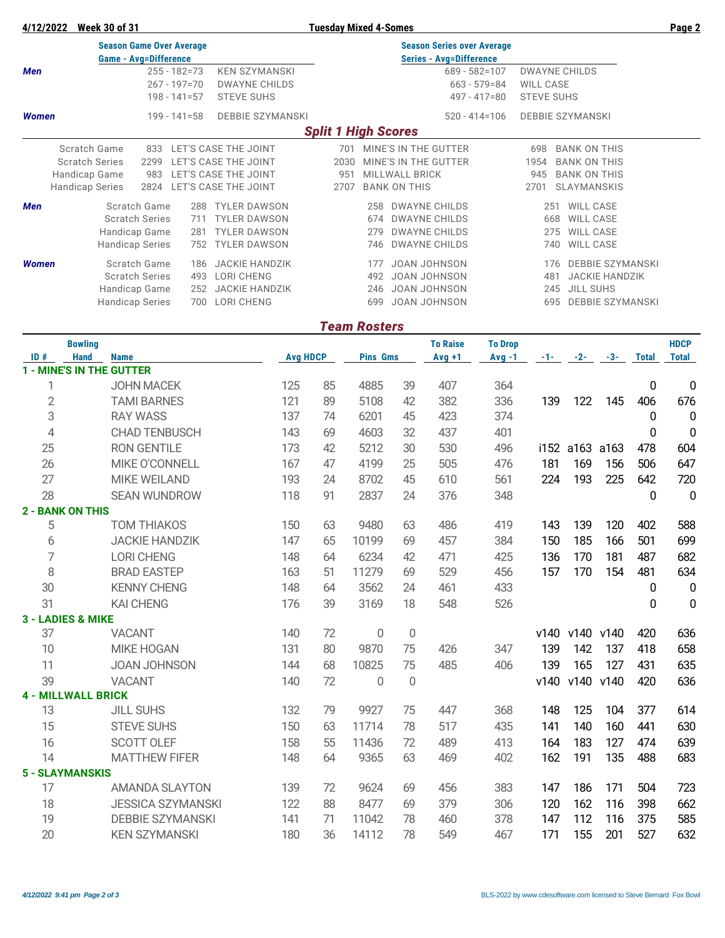### **4/12/2022 Week 30 of 31 Tuesday Mixed 4-Somes Page 2**

| <b>Season Game Over Average</b> |                              |                       |                      |                      |                         |      | <b>Season Series over Average</b> |                      |                   |                      |     |                         |  |  |  |
|---------------------------------|------------------------------|-----------------------|----------------------|----------------------|-------------------------|------|-----------------------------------|----------------------|-------------------|----------------------|-----|-------------------------|--|--|--|
|                                 | <b>Game - Avg=Difference</b> |                       |                      |                      |                         |      | <b>Series - Avg=Difference</b>    |                      |                   |                      |     |                         |  |  |  |
| Men                             |                              |                       | $255 - 182 = 73$     |                      | <b>KEN SZYMANSKI</b>    |      |                                   |                      | $689 - 582 = 107$ | <b>DWAYNE CHILDS</b> |     |                         |  |  |  |
|                                 |                              |                       | $267 - 197 = 70$     |                      | <b>DWAYNE CHILDS</b>    |      |                                   |                      | $663 - 579 = 84$  | <b>WILL CASE</b>     |     |                         |  |  |  |
|                                 |                              |                       | $198 - 141 = 57$     | <b>STEVE SUHS</b>    |                         |      |                                   |                      | $497 - 417 = 80$  | <b>STEVE SUHS</b>    |     |                         |  |  |  |
| <b>Women</b>                    |                              |                       | $199 - 141 = 58$     |                      | <b>DEBBIE SZYMANSKI</b> |      |                                   |                      | $520 - 414 = 106$ |                      |     | <b>DEBBIE SZYMANSKI</b> |  |  |  |
| <b>Split 1 High Scores</b>      |                              |                       |                      |                      |                         |      |                                   |                      |                   |                      |     |                         |  |  |  |
|                                 | Scratch Game                 | 833                   |                      | LET'S CASE THE JOINT |                         | 701  |                                   | MINE'S IN THE GUTTER |                   | 698                  |     | <b>BANK ON THIS</b>     |  |  |  |
|                                 | <b>Scratch Series</b>        | 2299                  |                      | LET'S CASE THE JOINT |                         | 2030 |                                   | MINE'S IN THE GUTTER |                   | 1954                 |     | <b>BANK ON THIS</b>     |  |  |  |
|                                 | Handicap Game                | 983                   |                      | LET'S CASE THE JOINT |                         | 951  |                                   | MILLWALL BRICK       |                   | 945                  |     | <b>BANK ON THIS</b>     |  |  |  |
|                                 | Handicap Series              | 2824                  | LET'S CASE THE JOINT |                      |                         | 2707 |                                   | <b>BANK ON THIS</b>  |                   | 2701                 |     | <b>SLAYMANSKIS</b>      |  |  |  |
| <b>Men</b>                      |                              | Scratch Game          | 288                  |                      | <b>TYLER DAWSON</b>     |      | 258                               | <b>DWAYNE CHILDS</b> |                   |                      | 251 | WILL CASE               |  |  |  |
|                                 |                              | <b>Scratch Series</b> | 711                  |                      | <b>TYLER DAWSON</b>     |      | 674                               | <b>DWAYNE CHILDS</b> |                   |                      | 668 | <b>WILL CASE</b>        |  |  |  |
|                                 | Handicap Game                |                       | 281                  |                      | <b>TYLER DAWSON</b>     |      | 279                               | <b>DWAYNE CHILDS</b> |                   |                      | 275 | <b>WILL CASE</b>        |  |  |  |
|                                 | <b>Handicap Series</b>       |                       | 752                  |                      | <b>TYLER DAWSON</b>     |      | 746                               | <b>DWAYNE CHILDS</b> |                   |                      | 740 | WILL CASE               |  |  |  |
| <b>Women</b>                    |                              | Scratch Game          | 186                  |                      | <b>JACKIE HANDZIK</b>   |      | 177                               | JOAN JOHNSON         |                   |                      | 176 | <b>DEBBIE SZYMANSKI</b> |  |  |  |
|                                 |                              | <b>Scratch Series</b> | 493                  | <b>LORI CHENG</b>    |                         |      | 492                               | <b>JOAN JOHNSON</b>  |                   |                      | 481 | <b>JACKIE HANDZIK</b>   |  |  |  |
|                                 | Handicap Game                |                       | 252                  |                      | <b>JACKIE HANDZIK</b>   |      | 246                               | JOAN JOHNSON         |                   |                      | 245 | <b>JILL SUHS</b>        |  |  |  |
|                                 | <b>Handicap Series</b>       |                       | 700                  | LORI CHENG           |                         |      | 699                               | <b>JOAN JOHNSON</b>  |                   |                      | 695 | <b>DEBBIE SZYMANSKI</b> |  |  |  |

## *Team Rosters*

|                | <b>Bowling</b>                  |                          |     |                 |                 |                  | <b>To Raise</b> | <b>To Drop</b> |       |                |           |              | <b>HDCP</b>  |
|----------------|---------------------------------|--------------------------|-----|-----------------|-----------------|------------------|-----------------|----------------|-------|----------------|-----------|--------------|--------------|
| ID#            | <b>Hand</b>                     | <b>Name</b>              |     | <b>Avg HDCP</b> | <b>Pins Gms</b> |                  | $Avg +1$        | $Avg -1$       | $-1-$ | $-2-$          | $-3-$     | <b>Total</b> | <b>Total</b> |
|                | <b>1 - MINE'S IN THE GUTTER</b> |                          |     |                 |                 |                  |                 |                |       |                |           |              |              |
| 1              |                                 | <b>JOHN MACEK</b>        | 125 | 85              | 4885            | 39               | 407             | 364            |       |                |           | 0            | 0            |
| $\overline{2}$ |                                 | <b>TAMI BARNES</b>       | 121 | 89              | 5108            | 42               | 382             | 336            | 139   | 122            | 145       | 406          | 676          |
| 3              |                                 | <b>RAY WASS</b>          | 137 | 74              | 6201            | 45               | 423             | 374            |       |                |           | 0            | $\mathbf 0$  |
| $\overline{4}$ |                                 | <b>CHAD TENBUSCH</b>     | 143 | 69              | 4603            | 32               | 437             | 401            |       |                |           | 0            | $\mathbf 0$  |
| 25             |                                 | <b>RON GENTILE</b>       | 173 | 42              | 5212            | 30               | 530             | 496            |       | i152 a163 a163 |           | 478          | 604          |
| 26             |                                 | MIKE O'CONNELL           | 167 | 47              | 4199            | 25               | 505             | 476            | 181   | 169            | 156       | 506          | 647          |
| 27             |                                 | <b>MIKE WEILAND</b>      | 193 | 24              | 8702            | 45               | 610             | 561            | 224   | 193            | 225       | 642          | 720          |
| 28             |                                 | <b>SEAN WUNDROW</b>      | 118 | 91              | 2837            | 24               | 376             | 348            |       |                |           | 0            | $\mathbf 0$  |
|                | <b>2 - BANK ON THIS</b>         |                          |     |                 |                 |                  |                 |                |       |                |           |              |              |
| 5              |                                 | <b>TOM THIAKOS</b>       | 150 | 63              | 9480            | 63               | 486             | 419            | 143   | 139            | 120       | 402          | 588          |
| 6              |                                 | <b>JACKIE HANDZIK</b>    | 147 | 65              | 10199           | 69               | 457             | 384            | 150   | 185            | 166       | 501          | 699          |
| 7              |                                 | <b>LORI CHENG</b>        | 148 | 64              | 6234            | 42               | 471             | 425            | 136   | 170            | 181       | 487          | 682          |
| 8              |                                 | <b>BRAD EASTEP</b>       | 163 | 51              | 11279           | 69               | 529             | 456            | 157   | 170            | 154       | 481          | 634          |
| 30             |                                 | <b>KENNY CHENG</b>       | 148 | 64              | 3562            | 24               | 461             | 433            |       |                |           | 0            | 0            |
| 31             |                                 | <b>KAI CHENG</b>         | 176 | 39              | 3169            | 18               | 548             | 526            |       |                |           | 0            | $\mathbf 0$  |
|                | <b>3 - LADIES &amp; MIKE</b>    |                          |     |                 |                 |                  |                 |                |       |                |           |              |              |
| 37             |                                 | <b>VACANT</b>            | 140 | 72              | 0               | $\boldsymbol{0}$ |                 |                | v140  | v140           | v140      | 420          | 636          |
| 10             |                                 | <b>MIKE HOGAN</b>        | 131 | 80              | 9870            | 75               | 426             | 347            | 139   | 142            | 137       | 418          | 658          |
| 11             |                                 | <b>JOAN JOHNSON</b>      | 144 | 68              | 10825           | 75               | 485             | 406            | 139   | 165            | 127       | 431          | 635          |
| 39             |                                 | <b>VACANT</b>            | 140 | 72              | $\overline{0}$  | 0                |                 |                | v140  |                | v140 v140 | 420          | 636          |
|                | <b>4 - MILLWALL BRICK</b>       |                          |     |                 |                 |                  |                 |                |       |                |           |              |              |
| 13             |                                 | <b>JILL SUHS</b>         | 132 | 79              | 9927            | 75               | 447             | 368            | 148   | 125            | 104       | 377          | 614          |
| 15             |                                 | <b>STEVE SUHS</b>        | 150 | 63              | 11714           | 78               | 517             | 435            | 141   | 140            | 160       | 441          | 630          |
| 16             |                                 | SCOTT OLEF               | 158 | 55              | 11436           | 72               | 489             | 413            | 164   | 183            | 127       | 474          | 639          |
| 14             |                                 | <b>MATTHEW FIFER</b>     | 148 | 64              | 9365            | 63               | 469             | 402            | 162   | 191            | 135       | 488          | 683          |
|                | <b>5 - SLAYMANSKIS</b>          |                          |     |                 |                 |                  |                 |                |       |                |           |              |              |
| 17             |                                 | <b>AMANDA SLAYTON</b>    | 139 | 72              | 9624            | 69               | 456             | 383            | 147   | 186            | 171       | 504          | 723          |
| 18             |                                 | <b>JESSICA SZYMANSKI</b> | 122 | 88              | 8477            | 69               | 379             | 306            | 120   | 162            | 116       | 398          | 662          |
| 19             |                                 | <b>DEBBIE SZYMANSKI</b>  | 141 | 71              | 11042           | 78               | 460             | 378            | 147   | 112            | 116       | 375          | 585          |
| 20             |                                 | <b>KEN SZYMANSKI</b>     | 180 | 36              | 14112           | 78               | 549             | 467            | 171   | 155            | 201       | 527          | 632          |